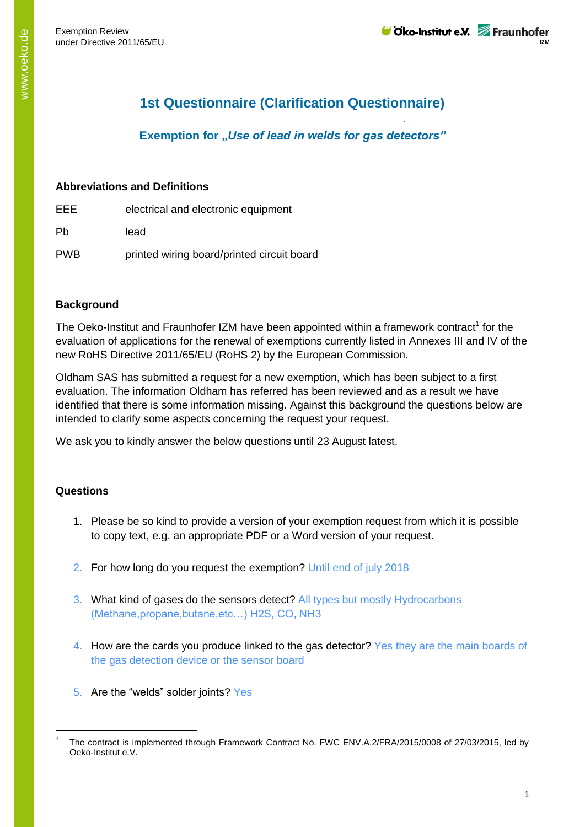# **1st Questionnaire (Clarification Questionnaire)**

### **Exemption for** *"Use of lead in welds for gas detectors"*

#### **Abbreviations and Definitions**

- EEE electrical and electronic equipment
- Pb lead
- PWB printed wiring board/printed circuit board

#### **Background**

The Oeko-Institut and Fraunhofer IZM have been appointed within a framework contract<sup>1</sup> for the evaluation of applications for the renewal of exemptions currently listed in Annexes III and IV of the new RoHS Directive 2011/65/EU (RoHS 2) by the European Commission.

Oldham SAS has submitted a request for a new exemption, which has been subject to a first evaluation. The information Oldham has referred has been reviewed and as a result we have identified that there is some information missing. Against this background the questions below are intended to clarify some aspects concerning the request your request.

We ask you to kindly answer the below questions until 23 August latest.

#### **Questions**

-

- 1. Please be so kind to provide a version of your exemption request from which it is possible to copy text, e.g. an appropriate PDF or a Word version of your request.
- 2. For how long do you request the exemption? Until end of july 2018
- 3. What kind of gases do the sensors detect? All types but mostly Hydrocarbons (Methane,propane,butane,etc…) H2S, CO, NH3
- 4. How are the cards you produce linked to the gas detector? Yes they are the main boards of the gas detection device or the sensor board
- 5. Are the "welds" solder joints? Yes

<sup>1</sup> The contract is implemented through Framework Contract No. FWC ENV.A.2/FRA/2015/0008 of 27/03/2015, led by Oeko-Institut e.V.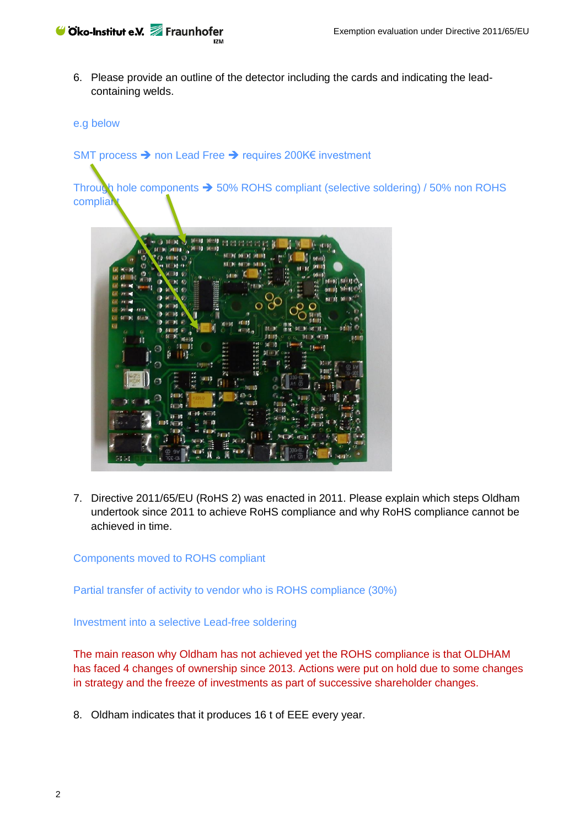

6. Please provide an outline of the detector including the cards and indicating the leadcontaining welds.

#### e.g below

#### SMT process → non Lead Free → requires 200K€ investment

Through hole components  $\rightarrow$  50% ROHS compliant (selective soldering) / 50% non ROHS compliai



7. Directive 2011/65/EU (RoHS 2) was enacted in 2011. Please explain which steps Oldham undertook since 2011 to achieve RoHS compliance and why RoHS compliance cannot be achieved in time.

#### Components moved to ROHS compliant

Partial transfer of activity to vendor who is ROHS compliance (30%)

Investment into a selective Lead-free soldering

The main reason why Oldham has not achieved yet the ROHS compliance is that OLDHAM has faced 4 changes of ownership since 2013. Actions were put on hold due to some changes in strategy and the freeze of investments as part of successive shareholder changes.

8. Oldham indicates that it produces 16 t of EEE every year.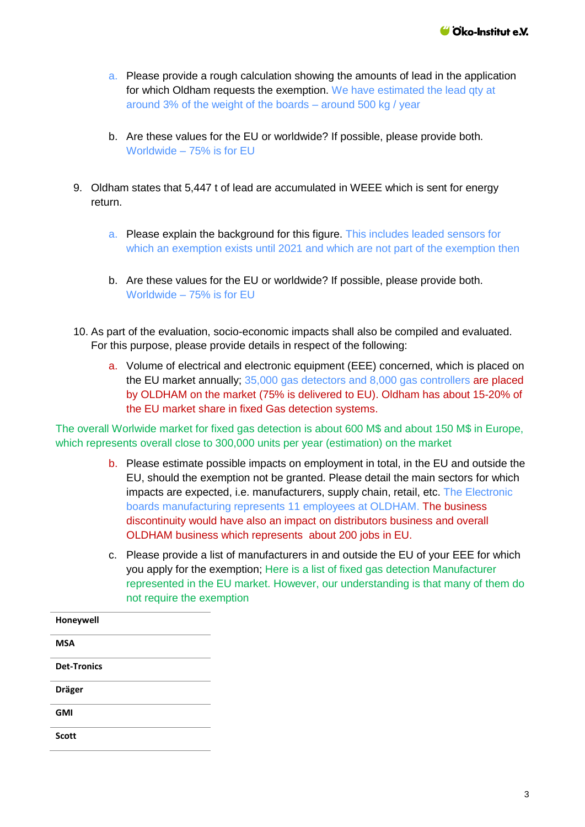- a. Please provide a rough calculation showing the amounts of lead in the application for which Oldham requests the exemption. We have estimated the lead qty at around 3% of the weight of the boards – around 500 kg / year
- b. Are these values for the EU or worldwide? If possible, please provide both. Worldwide – 75% is for EU
- 9. Oldham states that 5,447 t of lead are accumulated in WEEE which is sent for energy return.
	- a. Please explain the background for this figure. This includes leaded sensors for which an exemption exists until 2021 and which are not part of the exemption then
	- b. Are these values for the EU or worldwide? If possible, please provide both. Worldwide – 75% is for EU
- 10. As part of the evaluation, socio-economic impacts shall also be compiled and evaluated. For this purpose, please provide details in respect of the following:
	- a. Volume of electrical and electronic equipment (EEE) concerned, which is placed on the EU market annually; 35,000 gas detectors and 8,000 gas controllers are placed by OLDHAM on the market (75% is delivered to EU). Oldham has about 15-20% of the EU market share in fixed Gas detection systems.

The overall Worlwide market for fixed gas detection is about 600 M\$ and about 150 M\$ in Europe, which represents overall close to 300,000 units per year (estimation) on the market

- b. Please estimate possible impacts on employment in total, in the EU and outside the EU, should the exemption not be granted. Please detail the main sectors for which impacts are expected, i.e. manufacturers, supply chain, retail, etc. The Electronic boards manufacturing represents 11 employees at OLDHAM. The business discontinuity would have also an impact on distributors business and overall OLDHAM business which represents about 200 jobs in EU.
- c. Please provide a list of manufacturers in and outside the EU of your EEE for which you apply for the exemption; Here is a list of fixed gas detection Manufacturer represented in the EU market. However, our understanding is that many of them do not require the exemption